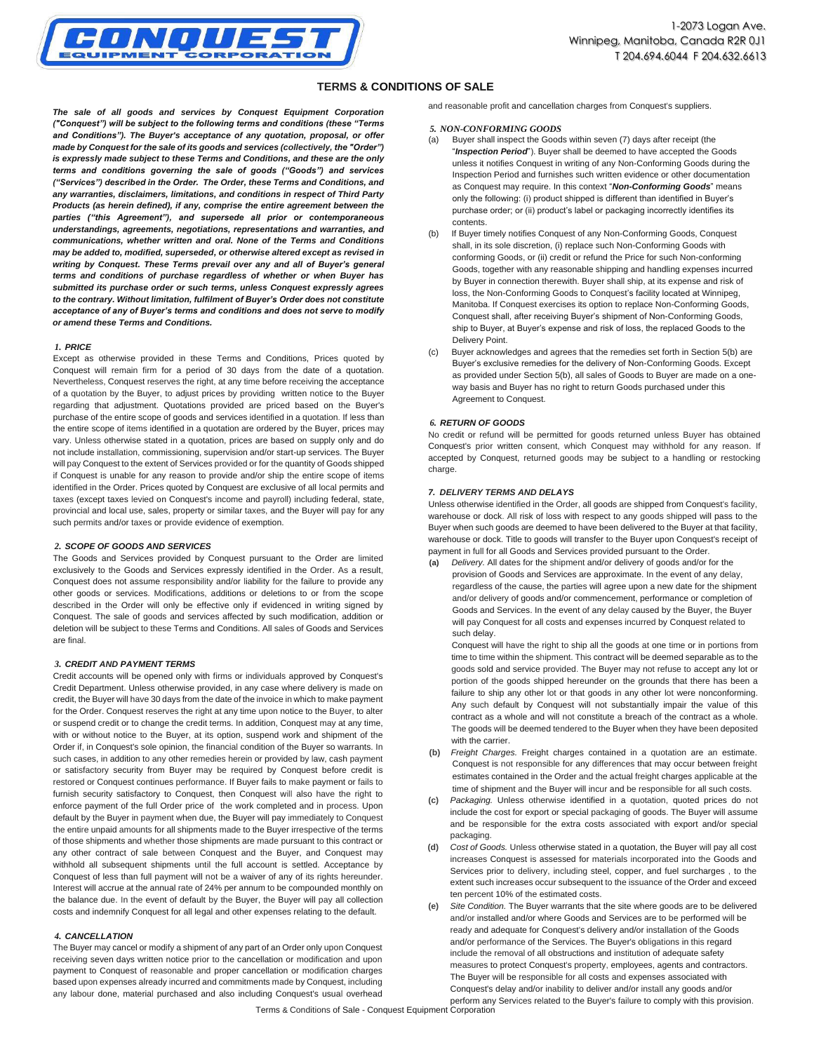

# **TERMS & CONDITIONS OF SALE**

*The sale of all goods and services by Conquest Equipment Corporation ("Conquest") will be subject to the following terms and conditions (these "Terms and Conditions"). The Buyer's acceptance of any quotation, proposal, or offer made by Conquest for the sale of its goods and services (collectively, the "Order") is expressly made subject to these Terms and Conditions, and these are the only terms and conditions governing the sale of goods ("Goods") and services ("Services") described in the Order. The Order, these Terms and Conditions, and any warranties, disclaimers, limitations, and conditions in respect of Third Party Products (as herein defined), if any, comprise the entire agreement between the parties ("this Agreement"), and supersede all prior or contemporaneous understandings, agreements, negotiations, representations and warranties, and communications, whether written and oral. None of the Terms and Conditions may be added to, modified, superseded, or otherwise altered except as revised in writing by Conquest. These Terms prevail over any and all of Buyer's general terms and conditions of purchase regardless of whether or when Buyer has submitted its purchase order or such terms, unless Conquest expressly agrees to the contrary. Without limitation, fulfilment of Buyer's Order does not constitute acceptance of any of Buyer's terms and conditions and does not serve to modify or amend these Terms and Conditions.*

#### *1. PRICE*

Except as otherwise provided in these Terms and Conditions, Prices quoted by Conquest will remain firm for a period of 30 days from the date of a quotation. Nevertheless, Conquest reserves the right, at any time before receiving the acceptance of a quotation by the Buyer, to adjust prices by providing written notice to the Buyer regarding that adjustment. Quotations provided are priced based on the Buyer's purchase of the entire scope of goods and services identified in a quotation. If less than the entire scope of items identified in a quotation are ordered by the Buyer, prices may vary. Unless otherwise stated in a quotation, prices are based on supply only and do not include installation, commissioning, supervision and/or start-up services. The Buyer will pay Conquest to the extent of Services provided or for the quantity of Goods shipped if Conquest is unable for any reason to provide and/or ship the entire scope of items identified in the Order. Prices quoted by Conquest are exclusive of all local permits and taxes (except taxes levied on Conquest's income and payroll) including federal, state, provincial and local use, sales, property or similar taxes, and the Buyer will pay for any such permits and/or taxes or provide evidence of exemption.

### *2. SCOPE OF GOODS AND SERVICES*

The Goods and Services provided by Conquest pursuant to the Order are limited exclusively to the Goods and Services expressly identified in the Order. As a result, Conquest does not assume responsibility and/or liability for the failure to provide any other goods or services. Modifications, additions or deletions to or from the scope described in the Order will only be effective only if evidenced in writing signed by Conquest. The sale of goods and services affected by such modification, addition or deletion will be subject to these Terms and Conditions. All sales of Goods and Services are final.

### *3. CREDIT AND PAYMENT TERMS*

Credit accounts will be opened only with firms or individuals approved by Conquest's Credit Department. Unless otherwise provided, in any case where delivery is made on credit, the Buyer will have 30 days from the date of the invoice in which to make payment for the Order. Conquest reserves the right at any time upon notice to the Buyer, to alter or suspend credit or to change the credit terms. In addition, Conquest may at any time, with or without notice to the Buyer, at its option, suspend work and shipment of the Order if, in Conquest's sole opinion, the financial condition of the Buyer so warrants. In such cases, in addition to any other remedies herein or provided by law, cash payment or satisfactory security from Buyer may be required by Conquest before credit is restored or Conquest continues performance. If Buyer fails to make payment or fails to furnish security satisfactory to Conquest, then Conquest will also have the right to enforce payment of the full Order price of the work completed and in process. Upon default by the Buyer in payment when due, the Buyer will pay immediately to Conquest the entire unpaid amounts for all shipments made to the Buyer irrespective of the terms of those shipments and whether those shipments are made pursuant to this contract or any other contract of sale between Conquest and the Buyer, and Conquest may withhold all subsequent shipments until the full account is settled. Acceptance by Conquest of less than full payment will not be a waiver of any of its rights hereunder. Interest will accrue at the annual rate of 24% per annum to be compounded monthly on the balance due. In the event of default by the Buyer, the Buyer will pay all collection costs and indemnify Conquest for all legal and other expenses relating to the default.

### *4. CANCELLATION*

The Buyer may cancel or modify a shipment of any part of an Order only upon Conquest receiving seven days written notice prior to the cancellation or modification and upon payment to Conquest of reasonable and proper cancellation or modification charges based upon expenses already incurred and commitments made by Conquest, including any labour done, material purchased and also including Conquest's usual overhead

and reasonable profit and cancellation charges from Conquest's suppliers.

### *5. NON-CONFORMING GOODS*

- Buyer shall inspect the Goods within seven (7) days after receipt (the "*Inspection Period*"). Buyer shall be deemed to have accepted the Goods unless it notifies Conquest in writing of any Non-Conforming Goods during the Inspection Period and furnishes such written evidence or other documentation as Conquest may require. In this context "*Non-Conforming Goods*" means only the following: (i) product shipped is different than identified in Buyer's purchase order; or (ii) product's label or packaging incorrectly identifies its contents.
- (b) If Buyer timely notifies Conquest of any Non-Conforming Goods, Conquest shall, in its sole discretion, (i) replace such Non-Conforming Goods with conforming Goods, or (ii) credit or refund the Price for such Non-conforming Goods, together with any reasonable shipping and handling expenses incurred by Buyer in connection therewith. Buyer shall ship, at its expense and risk of loss, the Non-Conforming Goods to Conquest's facility located at Winnipeg, Manitoba. If Conquest exercises its option to replace Non-Conforming Goods, Conquest shall, after receiving Buyer's shipment of Non-Conforming Goods, ship to Buyer, at Buyer's expense and risk of loss, the replaced Goods to the Delivery Point.
- (c) Buyer acknowledges and agrees that the remedies set forth in Section 5(b) are Buyer's exclusive remedies for the delivery of Non-Conforming Goods. Except as provided under Section 5(b), all sales of Goods to Buyer are made on a oneway basis and Buyer has no right to return Goods purchased under this Agreement to Conquest.

#### *6. RETURN OF GOODS*

No credit or refund will be permitted for goods returned unless Buyer has obtained Conquest's prior written consent, which Conquest may withhold for any reason. If accepted by Conquest, returned goods may be subject to a handling or restocking charge.

#### *7. DELIVERY TERMS AND DELAYS*

Unless otherwise identified in the Order, all goods are shipped from Conquest's facility, warehouse or dock. All risk of loss with respect to any goods shipped will pass to the Buyer when such goods are deemed to have been delivered to the Buyer at that facility, warehouse or dock. Title to goods will transfer to the Buyer upon Conquest's receipt of payment in full for all Goods and Services provided pursuant to the Order.

**(a)** *Delivery.* All dates for the shipment and/or delivery of goods and/or for the provision of Goods and Services are approximate. In the event of any delay, regardless of the cause, the parties will agree upon a new date for the shipment and/or delivery of goods and/or commencement, performance or completion of Goods and Services. In the event of any delay caused by the Buyer, the Buyer will pay Conquest for all costs and expenses incurred by Conquest related to such delay.

Conquest will have the right to ship all the goods at one time or in portions from time to time within the shipment. This contract will be deemed separable as to the goods sold and service provided. The Buyer may not refuse to accept any lot or portion of the goods shipped hereunder on the grounds that there has been a failure to ship any other lot or that goods in any other lot were nonconforming. Any such default by Conquest will not substantially impair the value of this contract as a whole and will not constitute a breach of the contract as a whole. The goods will be deemed tendered to the Buyer when they have been deposited with the carrier.

- **(b)** *Freight Charges.* Freight charges contained in a quotation are an estimate. Conquest is not responsible for any differences that may occur between freight estimates contained in the Order and the actual freight charges applicable at the time of shipment and the Buyer will incur and be responsible for all such costs.
- **(c)** *Packaging.* Unless otherwise identified in a quotation, quoted prices do not include the cost for export or special packaging of goods. The Buyer will assume and be responsible for the extra costs associated with export and/or special packaging.
- Cost of Goods. Unless otherwise stated in a quotation, the Buyer will pay all cost increases Conquest is assessed for materials incorporated into the Goods and Services prior to delivery, including steel, copper, and fuel surcharges , to the extent such increases occur subsequent to the issuance of the Order and exceed ten percent 10% of the estimated costs.
- **(e)** *Site Condition.* The Buyer warrants that the site where goods are to be delivered and/or installed and/or where Goods and Services are to be performed will be ready and adequate for Conquest's delivery and/or installation of the Goods and/or performance of the Services. The Buyer's obligations in this regard include the removal of all obstructions and institution of adequate safety measures to protect Conquest's property, employees, agents and contractors. The Buyer will be responsible for all costs and expenses associated with Conquest's delay and/or inability to deliver and/or install any goods and/or perform any Services related to the Buyer's failure to comply with this provision.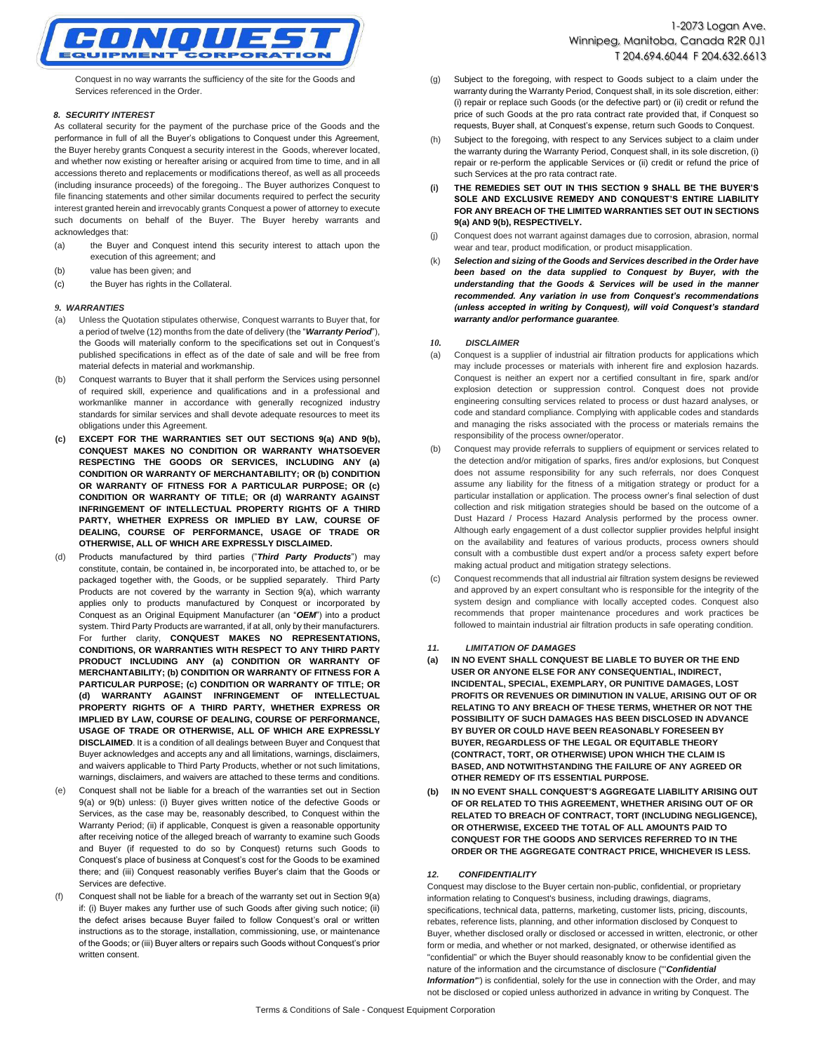

Conquest in no way warrants the sufficiency of the site for the Goods and Services referenced in the Order.

### *8. SECURITY INTEREST*

As collateral security for the payment of the purchase price of the Goods and the performance in full of all the Buyer's obligations to Conquest under this Agreement, the Buyer hereby grants Conquest a security interest in the Goods, wherever located, and whether now existing or hereafter arising or acquired from time to time, and in all accessions thereto and replacements or modifications thereof, as well as all proceeds (including insurance proceeds) of the foregoing.. The Buyer authorizes Conquest to file financing statements and other similar documents required to perfect the security interest granted herein and irrevocably grants Conquest a power of attorney to execute such documents on behalf of the Buyer. The Buyer hereby warrants and acknowledges that:

- (a) the Buyer and Conquest intend this security interest to attach upon the execution of this agreement; and
- (b) value has been given; and
- (c) the Buyer has rights in the Collateral.

#### *9. WARRANTIES*

- (a) Unless the Quotation stipulates otherwise, Conquest warrants to Buyer that, for a period of twelve (12) months from the date of delivery (the "*Warranty Period*"), the Goods will materially conform to the specifications set out in Conquest's published specifications in effect as of the date of sale and will be free from material defects in material and workmanship.
- (b) Conquest warrants to Buyer that it shall perform the Services using personnel of required skill, experience and qualifications and in a professional and workmanlike manner in accordance with generally recognized industry standards for similar services and shall devote adequate resources to meet its obligations under this Agreement.
- **(c) EXCEPT FOR THE WARRANTIES SET OUT SECTIONS 9(a) AND 9(b), CONQUEST MAKES NO CONDITION OR WARRANTY WHATSOEVER RESPECTING THE GOODS OR SERVICES, INCLUDING ANY (a) CONDITION OR WARRANTY OF MERCHANTABILITY; OR (b) CONDITION OR WARRANTY OF FITNESS FOR A PARTICULAR PURPOSE; OR (c) CONDITION OR WARRANTY OF TITLE; OR (d) WARRANTY AGAINST INFRINGEMENT OF INTELLECTUAL PROPERTY RIGHTS OF A THIRD PARTY, WHETHER EXPRESS OR IMPLIED BY LAW, COURSE OF DEALING, COURSE OF PERFORMANCE, USAGE OF TRADE OR OTHERWISE, ALL OF WHICH ARE EXPRESSLY DISCLAIMED.**
- (d) Products manufactured by third parties ("*Third Party Products*") may constitute, contain, be contained in, be incorporated into, be attached to, or be packaged together with, the Goods, or be supplied separately. Third Party Products are not covered by the warranty in Section 9(a), which warranty applies only to products manufactured by Conquest or incorporated by Conquest as an Original Equipment Manufacturer (an "*OEM*") into a product system. Third Party Products are warranted, if at all, only by their manufacturers. For further clarity, **CONQUEST MAKES NO REPRESENTATIONS, CONDITIONS, OR WARRANTIES WITH RESPECT TO ANY THIRD PARTY PRODUCT INCLUDING ANY (a) CONDITION OR WARRANTY OF MERCHANTABILITY; (b) CONDITION OR WARRANTY OF FITNESS FOR A PARTICULAR PURPOSE; (c) CONDITION OR WARRANTY OF TITLE; OR (d) WARRANTY AGAINST INFRINGEMENT OF INTELLECTUAL PROPERTY RIGHTS OF A THIRD PARTY, WHETHER EXPRESS OR IMPLIED BY LAW, COURSE OF DEALING, COURSE OF PERFORMANCE, USAGE OF TRADE OR OTHERWISE, ALL OF WHICH ARE EXPRESSLY DISCLAIMED**. It is a condition of all dealings between Buyer and Conquest that Buyer acknowledges and accepts any and all limitations, warnings, disclaimers, and waivers applicable to Third Party Products, whether or not such limitations, warnings, disclaimers, and waivers are attached to these terms and conditions.
- (e) Conquest shall not be liable for a breach of the warranties set out in Section 9(a) or 9(b) unless: (i) Buyer gives written notice of the defective Goods or Services, as the case may be, reasonably described, to Conquest within the Warranty Period; (ii) if applicable, Conquest is given a reasonable opportunity after receiving notice of the alleged breach of warranty to examine such Goods and Buyer (if requested to do so by Conquest) returns such Goods to Conquest's place of business at Conquest's cost for the Goods to be examined there; and (iii) Conquest reasonably verifies Buyer's claim that the Goods or Services are defective.
- Conquest shall not be liable for a breach of the warranty set out in Section  $9(a)$ if: (i) Buyer makes any further use of such Goods after giving such notice; (ii) the defect arises because Buyer failed to follow Conquest's oral or written instructions as to the storage, installation, commissioning, use, or maintenance of the Goods; or (iii) Buyer alters or repairs such Goods without Conquest's prior written consent.
- (g) Subject to the foregoing, with respect to Goods subject to a claim under the warranty during the Warranty Period, Conquest shall, in its sole discretion, either: (i) repair or replace such Goods (or the defective part) or (ii) credit or refund the price of such Goods at the pro rata contract rate provided that, if Conquest so requests, Buyer shall, at Conquest's expense, return such Goods to Conquest.
- (h) Subject to the foregoing, with respect to any Services subject to a claim under the warranty during the Warranty Period, Conquest shall, in its sole discretion, (i) repair or re-perform the applicable Services or (ii) credit or refund the price of such Services at the pro rata contract rate.
- **(i) THE REMEDIES SET OUT IN THIS SECTION 9 SHALL BE THE BUYER'S SOLE AND EXCLUSIVE REMEDY AND CONQUEST'S ENTIRE LIABILITY FOR ANY BREACH OF THE LIMITED WARRANTIES SET OUT IN SECTIONS 9(a) AND 9(b), RESPECTIVELY.**
- (j) Conquest does not warrant against damages due to corrosion, abrasion, normal wear and tear, product modification, or product misapplication.
- (k) *Selection and sizing of the Goods and Services described in the Order have been based on the data supplied to Conquest by Buyer, with the understanding that the Goods & Services will be used in the manner recommended. Any variation in use from Conquest's recommendations (unless accepted in writing by Conquest), will void Conquest's standard warranty and/or performance guarantee.*

#### *10. DISCLAIMER*

- (a) Conquest is a supplier of industrial air filtration products for applications which may include processes or materials with inherent fire and explosion hazards. Conquest is neither an expert nor a certified consultant in fire, spark and/or explosion detection or suppression control. Conquest does not provide engineering consulting services related to process or dust hazard analyses, or code and standard compliance. Complying with applicable codes and standards and managing the risks associated with the process or materials remains the responsibility of the process owner/operator.
- (b) Conquest may provide referrals to suppliers of equipment or services related to the detection and/or mitigation of sparks, fires and/or explosions, but Conquest does not assume responsibility for any such referrals, nor does Conquest assume any liability for the fitness of a mitigation strategy or product for a particular installation or application. The process owner's final selection of dust collection and risk mitigation strategies should be based on the outcome of a Dust Hazard / Process Hazard Analysis performed by the process owner. Although early engagement of a dust collector supplier provides helpful insight on the availability and features of various products, process owners should consult with a combustible dust expert and/or a process safety expert before making actual product and mitigation strategy selections.
- (c) Conquest recommends that all industrial air filtration system designs be reviewed and approved by an expert consultant who is responsible for the integrity of the system design and compliance with locally accepted codes. Conquest also recommends that proper maintenance procedures and work practices be followed to maintain industrial air filtration products in safe operating condition.

### *11. LIMITATION OF DAMAGES*

- **(a) IN NO EVENT SHALL CONQUEST BE LIABLE TO BUYER OR THE END USER OR ANYONE ELSE FOR ANY CONSEQUENTIAL, INDIRECT, INCIDENTAL, SPECIAL, EXEMPLARY, OR PUNITIVE DAMAGES, LOST PROFITS OR REVENUES OR DIMINUTION IN VALUE, ARISING OUT OF OR RELATING TO ANY BREACH OF THESE TERMS, WHETHER OR NOT THE POSSIBILITY OF SUCH DAMAGES HAS BEEN DISCLOSED IN ADVANCE BY BUYER OR COULD HAVE BEEN REASONABLY FORESEEN BY BUYER, REGARDLESS OF THE LEGAL OR EQUITABLE THEORY (CONTRACT, TORT, OR OTHERWISE) UPON WHICH THE CLAIM IS BASED, AND NOTWITHSTANDING THE FAILURE OF ANY AGREED OR OTHER REMEDY OF ITS ESSENTIAL PURPOSE.**
- **(b) IN NO EVENT SHALL CONQUEST'S AGGREGATE LIABILITY ARISING OUT OF OR RELATED TO THIS AGREEMENT, WHETHER ARISING OUT OF OR RELATED TO BREACH OF CONTRACT, TORT (INCLUDING NEGLIGENCE), OR OTHERWISE, EXCEED THE TOTAL OF ALL AMOUNTS PAID TO CONQUEST FOR THE GOODS AND SERVICES REFERRED TO IN THE ORDER OR THE AGGREGATE CONTRACT PRICE, WHICHEVER IS LESS.**

## *12. CONFIDENTIALITY*

Conquest may disclose to the Buyer certain non-public, confidential, or proprietary information relating to Conquest's business, including drawings, diagrams, specifications, technical data, patterns, marketing, customer lists, pricing, discounts, rebates, reference lists, planning, and other information disclosed by Conquest to Buyer, whether disclosed orally or disclosed or accessed in written, electronic, or other form or media, and whether or not marked, designated, or otherwise identified as "confidential" or which the Buyer should reasonably know to be confidential given the nature of the information and the circumstance of disclosure ("'*Confidential Information'*") is confidential, solely for the use in connection with the Order, and may not be disclosed or copied unless authorized in advance in writing by Conquest. The